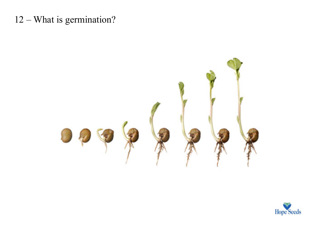## $12 - What is germination?$